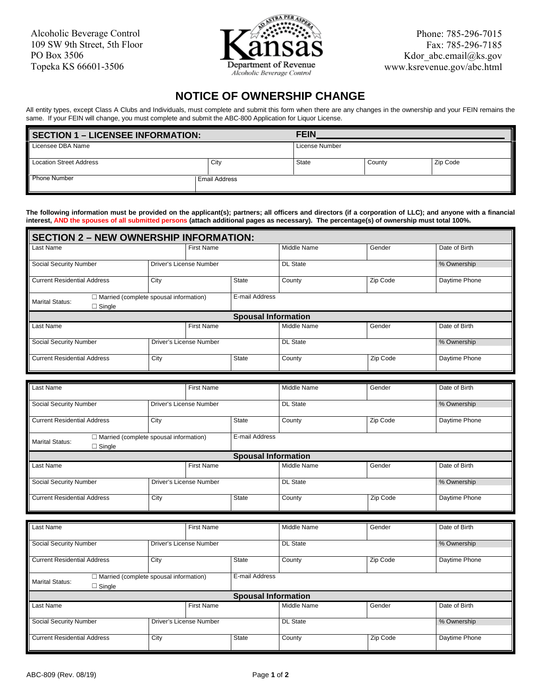Alcoholic Beverage Control 109 SW 9th Street, 5th Floor PO Box 3506 Topeka KS 66601-3506



Phone: 785-296-7015 Fax: 785-296-7185 Kdor\_abc.email@ks.gov www.ksrevenue.gov/abc.html

## **NOTICE OF OWNERSHIP CHANGE**

 All entity types, except Class A Clubs and Individuals, must complete and submit this form when there are any changes in the ownership and your FEIN remains the same. If your FEIN will change, you must complete and submit the ABC-800 Application for Liquor License.

| <b>SECTION 1 – LICENSEE INFORMATION:</b> | <b>FEIN</b>          |                |        |          |
|------------------------------------------|----------------------|----------------|--------|----------|
| Licensee DBA Name                        |                      | License Number |        |          |
| <b>Location Street Address</b>           | City                 | State          | County | Zip Code |
| <b>Phone Number</b>                      | <b>Email Address</b> |                |        |          |

 **interest, AND the spouses of all submitted persons (attach additional pages as necessary). The percentage(s) of ownership must total 100%. The following information must be provided on the applicant(s); partners; all officers and directors (if a corporation of LLC); and anyone with a financial** 

| <b>SECTION 2 - NEW OWNERSHIP INFORMATION:</b>                                            |                         |                |                 |                 |               |               |  |  |
|------------------------------------------------------------------------------------------|-------------------------|----------------|-----------------|-----------------|---------------|---------------|--|--|
| Last Name                                                                                |                         | First Name     |                 | Middle Name     | Gender        | Date of Birth |  |  |
| <b>Social Security Number</b>                                                            | Driver's License Number |                |                 | <b>DL</b> State |               | % Ownership   |  |  |
| <b>Current Residential Address</b>                                                       | City                    |                | <b>State</b>    | County          | Zip Code      | Daytime Phone |  |  |
| $\Box$ Married (complete spousal information)<br><b>Marital Status:</b><br>$\Box$ Single |                         | E-mail Address |                 |                 |               |               |  |  |
| <b>Spousal Information</b>                                                               |                         |                |                 |                 |               |               |  |  |
| <b>First Name</b><br>Last Name                                                           |                         |                | Middle Name     | Gender          | Date of Birth |               |  |  |
| <b>Social Security Number</b><br>Driver's License Number                                 |                         |                | <b>DL State</b> |                 | % Ownership   |               |  |  |
| <b>Current Residential Address</b>                                                       | City                    |                | <b>State</b>    | County          | Zip Code      | Daytime Phone |  |  |

| Last Name                                                                                |                                               | <b>First Name</b> |                            | Middle Name     | Gender        | Date of Birth |
|------------------------------------------------------------------------------------------|-----------------------------------------------|-------------------|----------------------------|-----------------|---------------|---------------|
| <b>Social Security Number</b>                                                            | Driver's License Number                       |                   |                            | <b>DL</b> State |               | % Ownership   |
|                                                                                          |                                               |                   |                            |                 |               |               |
| <b>Current Residential Address</b>                                                       | City                                          |                   | <b>State</b>               | County          | Zip Code      | Daytime Phone |
| <b>Marital Status:</b><br>$\Box$ Single                                                  | $\Box$ Married (complete spousal information) |                   | E-mail Address             |                 |               |               |
|                                                                                          |                                               |                   | <b>Spousal Information</b> |                 |               |               |
| Last Name                                                                                |                                               | <b>First Name</b> |                            | Middle Name     | Gender        | Date of Birth |
| Social Security Number                                                                   | Driver's License Number                       |                   |                            | DL State        |               | % Ownership   |
| <b>Current Residential Address</b><br>City                                               |                                               | <b>State</b>      | County                     | Zip Code        | Daytime Phone |               |
|                                                                                          |                                               |                   |                            |                 |               |               |
|                                                                                          |                                               |                   |                            |                 |               |               |
| Last Name                                                                                |                                               | <b>First Name</b> |                            | Middle Name     | Gender        | Date of Birth |
| <b>Social Security Number</b>                                                            | Driver's License Number                       |                   |                            | <b>DL State</b> |               | % Ownership   |
| <b>Current Residential Address</b>                                                       | City                                          |                   | <b>State</b>               | County          | Zip Code      | Daytime Phone |
| $\Box$ Married (complete spousal information)<br><b>Marital Status:</b><br>$\Box$ Single |                                               |                   | E-mail Address             |                 |               |               |
|                                                                                          |                                               |                   | <b>Spousal Information</b> |                 |               |               |
| Last Name                                                                                |                                               | <b>First Name</b> |                            | Middle Name     | Gender        | Date of Birth |
| <b>Social Security Number</b>                                                            | Driver's License Number                       |                   |                            | <b>DL State</b> |               | % Ownership   |